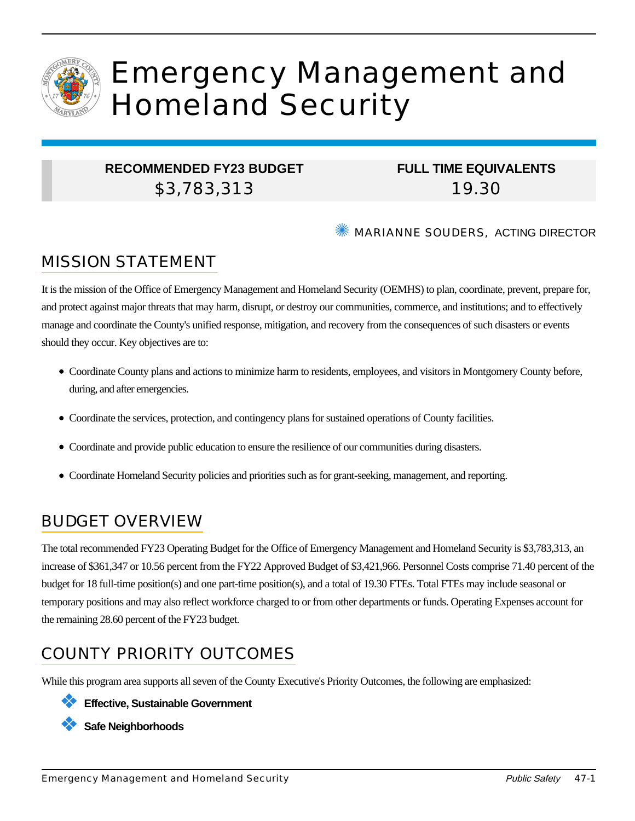

# Emergency Management and Homeland Security

#### **RECOMMENDED FY23 BUDGET** \$3,783,313

## **FULL TIME EQUIVALENTS** 19.30

✺ MARIANNE SOUDERS, ACTING DIRECTOR

## MISSION STATEMENT

It is the mission of the Office of Emergency Management and Homeland Security (OEMHS) to plan, coordinate, prevent, prepare for, and protect against major threats that may harm, disrupt, or destroy our communities, commerce, and institutions; and to effectively manage and coordinate the County's unified response, mitigation, and recovery from the consequences of such disasters or events should they occur. Key objectives are to:

- Coordinate County plans and actions to minimize harm to residents, employees, and visitors in Montgomery County before, during, and after emergencies.
- Coordinate the services, protection, and contingency plans for sustained operations of County facilities.
- Coordinate and provide public education to ensure the resilience of our communities during disasters.
- Coordinate Homeland Security policies and priorities such as for grant-seeking, management, and reporting.

# BUDGET OVERVIEW

The total recommended FY23 Operating Budget for the Office of Emergency Management and Homeland Security is \$3,783,313, an increase of \$361,347 or 10.56 percent from the FY22 Approved Budget of \$3,421,966. Personnel Costs comprise 71.40 percent of the budget for 18 full-time position(s) and one part-time position(s), and a total of 19.30 FTEs. Total FTEs may include seasonal or temporary positions and may also reflect workforce charged to or from other departments or funds. Operating Expenses account for the remaining 28.60 percent of the FY23 budget.

# COUNTY PRIORITY OUTCOMES

While this program area supports all seven of the County Executive's Priority Outcomes, the following are emphasized:

❖ **Effective, Sustainable Government**

❖ **Safe Neighborhoods**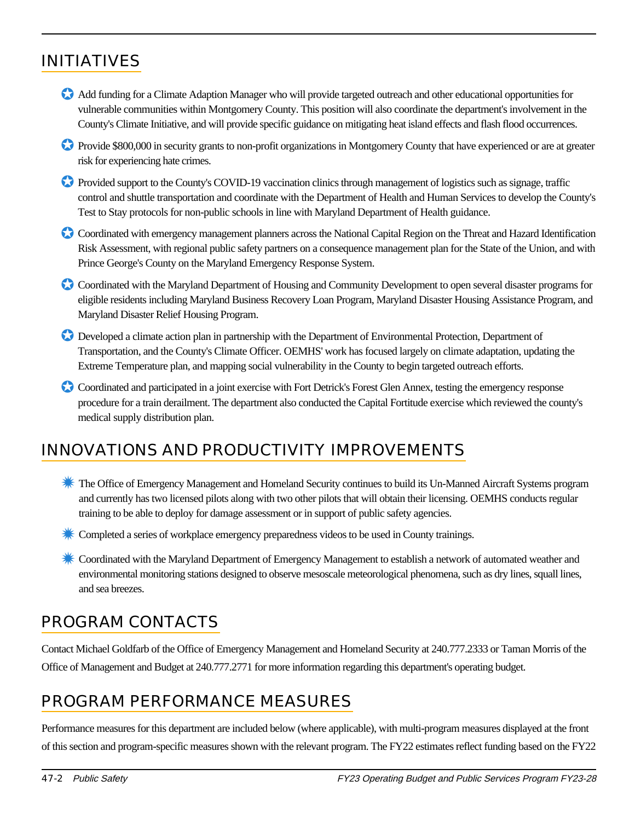# INITIATIVES

- ✪ Add funding for a Climate Adaption Manager who will provide targeted outreach and other educational opportunities for vulnerable communities within Montgomery County. This position will also coordinate the department's involvement in the County's Climate Initiative, and will provide specific guidance on mitigating heat island effects and flash flood occurrences.
- ✪ Provide \$800,000 in security grants to non-profit organizations in Montgomery County that have experienced or are at greater risk for experiencing hate crimes.
- ✪ Provided support to the County's COVID-19 vaccination clinics through management of logistics such as signage, traffic control and shuttle transportation and coordinate with the Department of Health and Human Services to develop the County's Test to Stay protocols for non-public schools in line with Maryland Department of Health guidance.
- Coordinated with emergency management planners across the National Capital Region on the Threat and Hazard Identification Risk Assessment, with regional public safety partners on a consequence management plan for the State of the Union, and with Prince George's County on the Maryland Emergency Response System.
- Coordinated with the Maryland Department of Housing and Community Development to open several disaster programs for eligible residents including Maryland Business Recovery Loan Program, Maryland Disaster Housing Assistance Program, and Maryland Disaster Relief Housing Program.
- ✪ Developed a climate action plan in partnership with the Department of Environmental Protection, Department of Transportation, and the County's Climate Officer. OEMHS' work has focused largely on climate adaptation, updating the Extreme Temperature plan, and mapping social vulnerability in the County to begin targeted outreach efforts.
- Coordinated and participated in a joint exercise with Fort Detrick's Forest Glen Annex, testing the emergency response procedure for a train derailment. The department also conducted the Capital Fortitude exercise which reviewed the county's medical supply distribution plan.

## INNOVATIONS AND PRODUCTIVITY IMPROVEMENTS

- ✹ The Office of Emergency Management and Homeland Security continues to build its Un-Manned Aircraft Systems program and currently has two licensed pilots along with two other pilots that will obtain their licensing. OEMHS conducts regular training to be able to deploy for damage assessment or in support of public safety agencies.
- ✹ Completed a series of workplace emergency preparedness videos to be used in County trainings.
- ✹ Coordinated with the Maryland Department of Emergency Management to establish a network of automated weather and environmental monitoring stations designed to observe mesoscale meteorological phenomena, such as dry lines, squall lines, and sea breezes.

## PROGRAM CONTACTS

Contact Michael Goldfarb of the Office of Emergency Management and Homeland Security at 240.777.2333 or Taman Morris of the Office of Management and Budget at 240.777.2771 for more information regarding this department's operating budget.

## PROGRAM PERFORMANCE MEASURES

Performance measures for this department are included below (where applicable), with multi-program measures displayed at the front of this section and program-specific measures shown with the relevant program. The FY22 estimates reflect funding based on the FY22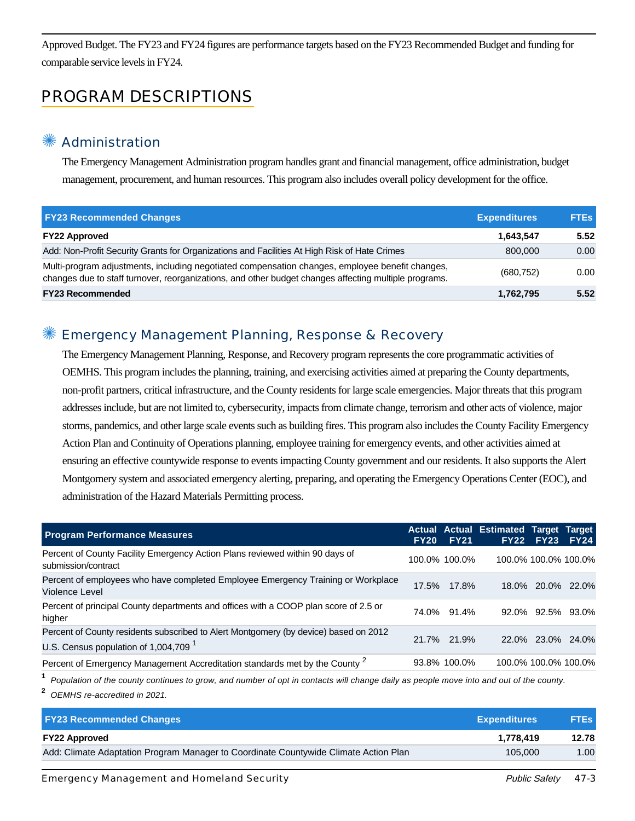Approved Budget. The FY23 and FY24 figures are performance targets based on the FY23 Recommended Budget and funding for comparable service levels in FY24.

## PROGRAM DESCRIPTIONS

#### **Administration**

The Emergency Management Administration program handles grant and financial management, office administration, budget management, procurement, and human resources. This program also includes overall policy development for the office.

| <b>FY23 Recommended Changes</b>                                                                                                                                                                          | <b>Expenditures</b> | <b>FTEs</b> |
|----------------------------------------------------------------------------------------------------------------------------------------------------------------------------------------------------------|---------------------|-------------|
| <b>FY22 Approved</b>                                                                                                                                                                                     | 1,643,547           | 5.52        |
| Add: Non-Profit Security Grants for Organizations and Facilities At High Risk of Hate Crimes                                                                                                             | 800,000             | 0.00        |
| Multi-program adjustments, including negotiated compensation changes, employee benefit changes,<br>changes due to staff turnover, reorganizations, and other budget changes affecting multiple programs. | (680, 752)          | 0.00        |
| <b>FY23 Recommended</b>                                                                                                                                                                                  | 1,762,795           | 5.52        |

#### Emergency Management Planning, Response & Recovery

The Emergency Management Planning, Response, and Recovery program represents the core programmatic activities of OEMHS. This program includes the planning, training, and exercising activities aimed at preparing the County departments, non-profit partners, critical infrastructure, and the County residents for large scale emergencies. Major threats that this program addresses include, but are not limited to, cybersecurity, impacts from climate change, terrorism and other acts of violence, major storms, pandemics, and other large scale events such as building fires. This program also includes the County Facility Emergency Action Plan and Continuity of Operations planning, employee training for emergency events, and other activities aimed at ensuring an effective countywide response to events impacting County government and our residents. It also supports the Alert Montgomery system and associated emergency alerting, preparing, and operating the Emergency Operations Center (EOC), and administration of the Hazard Materials Permitting process.

| <b>Program Performance Measures</b>                                                                                                      | <b>FY20 FY21</b> | <b>Actual Actual Estimated Target Target</b> | <b>FY22 FY23</b>     | <b>FY24</b>          |
|------------------------------------------------------------------------------------------------------------------------------------------|------------------|----------------------------------------------|----------------------|----------------------|
| Percent of County Facility Emergency Action Plans reviewed within 90 days of<br>submission/contract                                      | 100.0% 100.0%    |                                              |                      | 100.0% 100.0% 100.0% |
| Percent of employees who have completed Employee Emergency Training or Workplace<br>Violence Level                                       | 17.5% 17.8%      |                                              |                      | 18.0% 20.0% 22.0%    |
| Percent of principal County departments and offices with a COOP plan score of 2.5 or<br>higher                                           | 74.0% 91.4%      |                                              | 92.0% 92.5% 93.0%    |                      |
| Percent of County residents subscribed to Alert Montgomery (by device) based on 2012<br>U.S. Census population of 1,004,709 <sup>1</sup> | 21.7% 21.9%      |                                              |                      | 22.0% 23.0% 24.0%    |
| Percent of Emergency Management Accreditation standards met by the County <sup>2</sup>                                                   | 93.8% 100.0%     |                                              | 100.0% 100.0% 100.0% |                      |

**1** Population of the county continues to grow, and number of opt in contacts will change daily as people move into and out of the county.

**2** OEMHS re-accredited in 2021.

| <b>FY23 Recommended Changes</b>                                                      | <b>Expenditures</b> | <b>FTEs</b> |
|--------------------------------------------------------------------------------------|---------------------|-------------|
| <b>FY22 Approved</b>                                                                 | 1.778.419           | 12.78       |
| Add: Climate Adaptation Program Manager to Coordinate Countywide Climate Action Plan | 105.000             | 1.00        |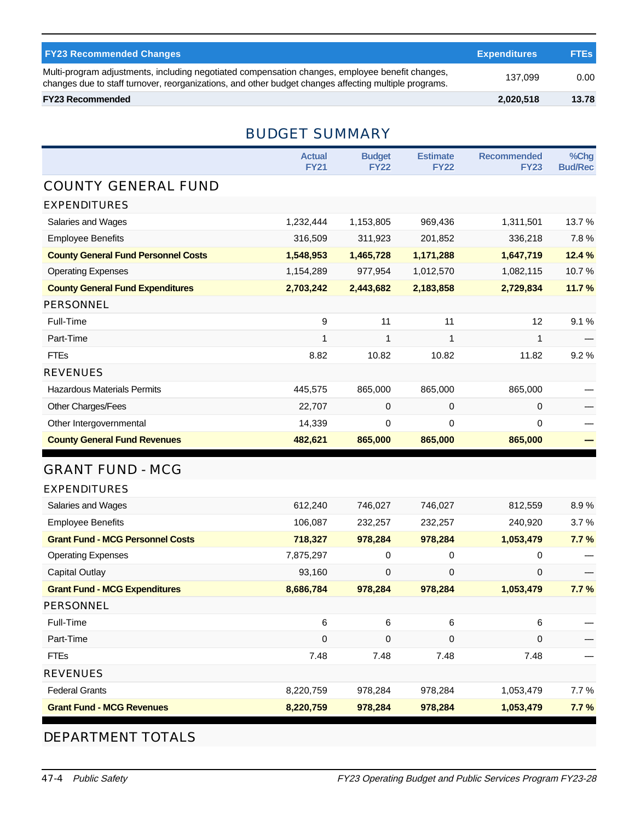| <b>FY23 Recommended Changes</b>                                                                                                                                                                          | <b>Expenditures</b> | <b>FTEs</b> |
|----------------------------------------------------------------------------------------------------------------------------------------------------------------------------------------------------------|---------------------|-------------|
| Multi-program adjustments, including negotiated compensation changes, employee benefit changes,<br>changes due to staff turnover, reorganizations, and other budget changes affecting multiple programs. | 137.099             | 0.00        |
| <b>FY23 Recommended</b>                                                                                                                                                                                  | 2,020,518           | 13.78       |

### BUDGET SUMMARY

|                                            | <b>Actual</b><br><b>FY21</b> | <b>Budget</b><br><b>FY22</b> | <b>Estimate</b><br><b>Recommended</b><br><b>FY22</b><br><b>FY23</b> |              | %Chg<br><b>Bud/Rec</b> |
|--------------------------------------------|------------------------------|------------------------------|---------------------------------------------------------------------|--------------|------------------------|
| <b>COUNTY GENERAL FUND</b>                 |                              |                              |                                                                     |              |                        |
| <b>EXPENDITURES</b>                        |                              |                              |                                                                     |              |                        |
| Salaries and Wages                         | 1,232,444                    | 1,153,805                    | 969,436                                                             | 1,311,501    | 13.7%                  |
| <b>Employee Benefits</b>                   | 316,509                      | 311,923                      | 201,852                                                             | 336,218      | 7.8%                   |
| <b>County General Fund Personnel Costs</b> | 1,548,953                    | 1,465,728                    | 1,171,288                                                           | 1,647,719    | 12.4 %                 |
| <b>Operating Expenses</b>                  | 1,154,289                    | 977,954                      | 1,012,570                                                           | 1,082,115    | 10.7%                  |
| <b>County General Fund Expenditures</b>    | 2,703,242                    | 2,443,682                    | 2,183,858                                                           | 2,729,834    | 11.7%                  |
| PERSONNEL                                  |                              |                              |                                                                     |              |                        |
| Full-Time                                  | 9                            | 11                           | 11                                                                  | 12           | 9.1%                   |
| Part-Time                                  | 1                            | 1                            | $\mathbf{1}$                                                        | $\mathbf{1}$ |                        |
| <b>FTEs</b>                                | 8.82                         | 10.82                        | 10.82                                                               | 11.82        | 9.2%                   |
| <b>REVENUES</b>                            |                              |                              |                                                                     |              |                        |
| <b>Hazardous Materials Permits</b>         | 445,575                      | 865,000                      | 865,000                                                             | 865,000      |                        |
| Other Charges/Fees                         | 22,707                       | 0                            | 0                                                                   | 0            |                        |
| Other Intergovernmental                    | 14,339                       | 0                            | $\mathbf 0$                                                         | 0            |                        |
| <b>County General Fund Revenues</b>        | 482,621                      | 865,000                      | 865,000                                                             | 865,000      |                        |
| <b>GRANT FUND - MCG</b>                    |                              |                              |                                                                     |              |                        |
| <b>EXPENDITURES</b>                        |                              |                              |                                                                     |              |                        |
| Salaries and Wages                         | 612,240                      | 746,027                      | 746,027                                                             | 812,559      | 8.9%                   |
| <b>Employee Benefits</b>                   | 106,087                      | 232,257                      | 232,257                                                             | 240,920      | 3.7%                   |
| <b>Grant Fund - MCG Personnel Costs</b>    | 718,327                      | 978,284                      | 978,284                                                             | 1,053,479    | 7.7%                   |
| <b>Operating Expenses</b>                  | 7,875,297                    | 0                            | 0                                                                   | 0            |                        |
| Capital Outlay                             | 93,160                       | $\mathbf 0$                  | $\mathbf 0$                                                         | 0            |                        |
| <b>Grant Fund - MCG Expenditures</b>       | 8,686,784                    | 978,284                      | 978,284                                                             | 1,053,479    | 7.7%                   |
| PERSONNEL                                  |                              |                              |                                                                     |              |                        |
| Full-Time                                  | 6                            | 6                            | 6                                                                   | 6            |                        |
| Part-Time                                  | 0                            | 0                            | 0                                                                   | 0            |                        |
| <b>FTEs</b>                                | 7.48                         | 7.48                         | 7.48                                                                | 7.48         |                        |
| <b>REVENUES</b>                            |                              |                              |                                                                     |              |                        |

Federal Grants 8,220,759 978,284 978,284 1,053,479 7.7 %

# **Grant Fund - MCG Revenues 8,220,759 978,284 978,284 1,053,479 7.7 %**

#### DEPARTMENT TOTALS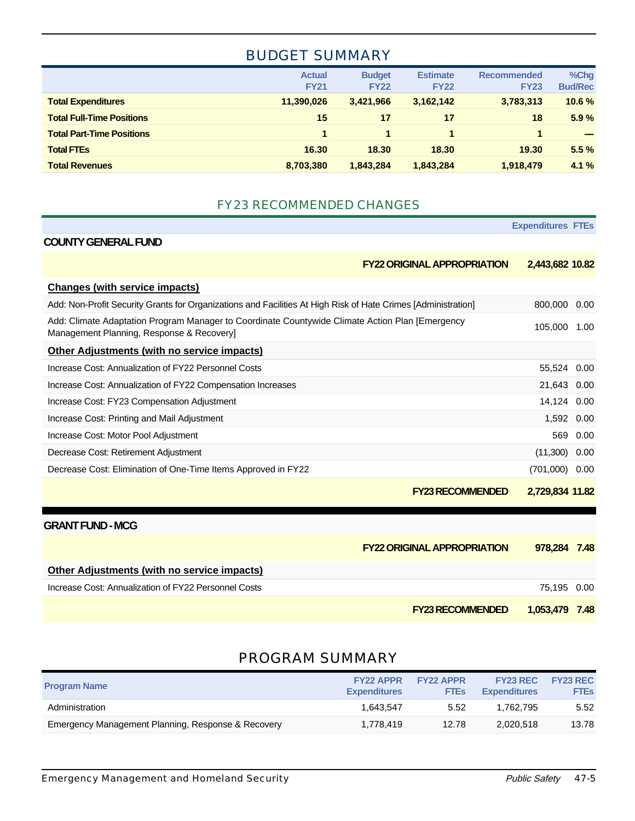#### BUDGET SUMMARY

|                                  | <b>Actual</b><br><b>FY21</b> | <b>Budget</b><br><b>FY22</b> | <b>Estimate</b><br><b>FY22</b> | <b>Recommended</b><br><b>FY23</b> | %Chg<br><b>Bud/Rec</b> |
|----------------------------------|------------------------------|------------------------------|--------------------------------|-----------------------------------|------------------------|
| <b>Total Expenditures</b>        | 11,390,026                   | 3.421.966                    | 3,162,142                      | 3,783,313                         | 10.6%                  |
| <b>Total Full-Time Positions</b> | 15                           | 17                           | 17                             | 18                                | 5.9%                   |
| <b>Total Part-Time Positions</b> | 1                            |                              |                                | 1                                 | -                      |
| <b>Total FTEs</b>                | 16.30                        | 18.30                        | 18.30                          | 19.30                             | 5.5%                   |
| <b>Total Revenues</b>            | 8,703,380                    | 1.843.284                    | 1,843,284                      | 1,918,479                         | 4.1%                   |

#### FY23 RECOMMENDED CHANGES

|                                                                                                                                              | <b>Expenditures FTEs</b> |      |
|----------------------------------------------------------------------------------------------------------------------------------------------|--------------------------|------|
| <b>COUNTY GENERAL FUND</b>                                                                                                                   |                          |      |
| <b>FY22 ORIGINAL APPROPRIATION</b>                                                                                                           | 2,443,682 10.82          |      |
| Changes (with service impacts)                                                                                                               |                          |      |
| Add: Non-Profit Security Grants for Organizations and Facilities At High Risk of Hate Crimes [Administration]                                | 800,000 0.00             |      |
| Add: Climate Adaptation Program Manager to Coordinate Countywide Climate Action Plan [Emergency<br>Management Planning, Response & Recovery] | 105,000 1.00             |      |
| Other Adjustments (with no service impacts)                                                                                                  |                          |      |
| Increase Cost: Annualization of FY22 Personnel Costs                                                                                         | 55,524 0.00              |      |
| Increase Cost: Annualization of FY22 Compensation Increases                                                                                  | 21,643 0.00              |      |
| Increase Cost: FY23 Compensation Adjustment                                                                                                  | 14,124 0.00              |      |
| Increase Cost: Printing and Mail Adjustment                                                                                                  | 1,592                    | 0.00 |
| Increase Cost: Motor Pool Adjustment                                                                                                         | 569                      | 0.00 |
| Decrease Cost: Retirement Adjustment                                                                                                         | (11,300)                 | 0.00 |
| Decrease Cost: Elimination of One-Time Items Approved in FY22                                                                                | (701,000)                | 0.00 |
| <b>FY23 RECOMMENDED</b>                                                                                                                      | 2,729,834 11.82          |      |
| <b>GRANT FUND - MCG</b>                                                                                                                      |                          |      |
| <b>FY22 ORIGINAL APPROPRIATION</b>                                                                                                           | 978.284                  | 7.48 |
| <b>Other Adjustments (with no service impacts)</b>                                                                                           |                          |      |
| Increase Cost: Annualization of FY22 Personnel Costs                                                                                         | 75,195                   | 0.00 |
| <b>FY23 RECOMMENDED</b>                                                                                                                      | 1.053.479                | 7.48 |

#### PROGRAM SUMMARY

| <b>Program Name</b>                                | <b>FY22 APPR</b><br><b>Expenditures</b> | <b>FY22 APPR</b><br><b>FTEs</b> | <b>FY23 REC</b><br><b>Expenditures</b> | <b>FY23 REC</b><br><b>FTES</b> |
|----------------------------------------------------|-----------------------------------------|---------------------------------|----------------------------------------|--------------------------------|
| Administration                                     | 1.643.547                               | 5.52                            | 1.762.795                              | 5.52                           |
| Emergency Management Planning, Response & Recovery | 1.778.419                               | 12.78                           | 2,020,518                              | 13.78                          |